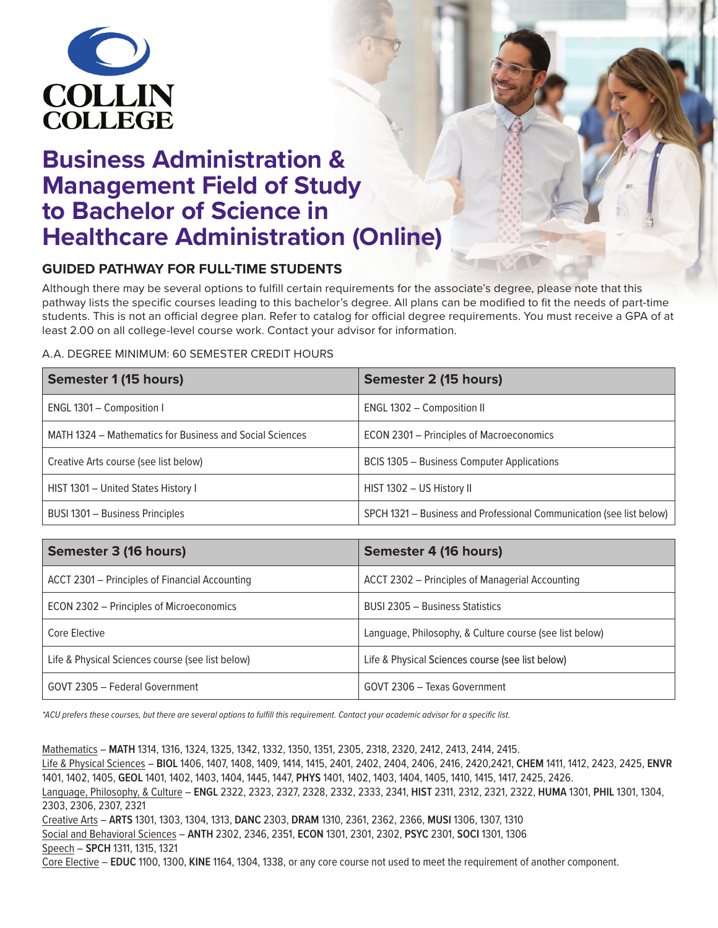

# **Business Administration & Management Field of Study to Bachelor of Science in Healthcare Administration (Online)**

## **GUIDED PATHWAY FOR FULL-TIME STUDENTS**

Although there may be several options to fulfill certain requirements for the associate's degree, please note that this pathway lists the specific courses leading to this bachelor's degree. All plans can be modified to fit the needs of part-time students. This is not an official degree plan. Refer to catalog for official degree requirements. You must receive a GPA of at least 2.00 on all college-level course work. Contact your advisor for information.

#### A.A. DEGREE MINIMUM: 60 SEMESTER CREDIT HOURS

| <b>Semester 1 (15 hours)</b>                             | Semester 2 (15 hours)                                                |
|----------------------------------------------------------|----------------------------------------------------------------------|
| ENGL 1301 - Composition I                                | ENGL 1302 - Composition II                                           |
| MATH 1324 – Mathematics for Business and Social Sciences | ECON 2301 – Principles of Macroeconomics                             |
| Creative Arts course (see list below)                    | <b>BCIS 1305 - Business Computer Applications</b>                    |
| HIST 1301 - United States History I                      | HIST 1302 - US History II                                            |
| BUSI 1301 - Business Principles                          | SPCH 1321 - Business and Professional Communication (see list below) |

| Semester 3 (16 hours)                            | Semester 4 (16 hours)                                   |
|--------------------------------------------------|---------------------------------------------------------|
| ACCT 2301 – Principles of Financial Accounting   | ACCT 2302 - Principles of Managerial Accounting         |
| ECON 2302 – Principles of Microeconomics         | BUSI 2305 - Business Statistics                         |
| Core Elective                                    | Language, Philosophy, & Culture course (see list below) |
| Life & Physical Sciences course (see list below) | Life & Physical Sciences course (see list below)        |
| GOVT 2305 - Federal Government                   | GOVT 2306 - Texas Government                            |

\*ACU prefers these courses, but there are several options to fulfill this requirement. Contact your academic advisor for a specific list.

Mathematics – **MATH** 1314, 1316, 1324, 1325, 1342, 1332, 1350, 1351, 2305, 2318, 2320, 2412, 2413, 2414, 2415. Life & Physical Sciences – **BIOL** 1406, 1407, 1408, 1409, 1414, 1415, 2401, 2402, 2404, 2406, 2416, 2420,2421, **CHEM** 1411, 1412, 2423, 2425, **ENVR** 1401, 1402, 1405, **GEOL** 1401, 1402, 1403, 1404, 1445, 1447, **PHYS** 1401, 1402, 1403, 1404, 1405, 1410, 1415, 1417, 2425, 2426. Language, Philosophy, & Culture – **ENGL** 2322, 2323, 2327, 2328, 2332, 2333, 2341, **HIST** 2311, 2312, 2321, 2322, **HUMA** 1301, **PHIL** 1301, 1304, 2303, 2306, 2307, 2321 Creative Arts – **ARTS** 1301, 1303, 1304, 1313, **DANC** 2303, **DRAM** 1310, 2361, 2362, 2366, **MUSI** 1306, 1307, 1310 Social and Behavioral Sciences – **ANTH** 2302, 2346, 2351, **ECON** 1301, 2301, 2302, **PSYC** 2301, **SOCI** 1301, 1306 Speech – **SPCH** 1311, 1315, 1321 Core Elective – **EDUC** 1100, 1300, **KINE** 1164, 1304, 1338, or any core course not used to meet the requirement of another component.